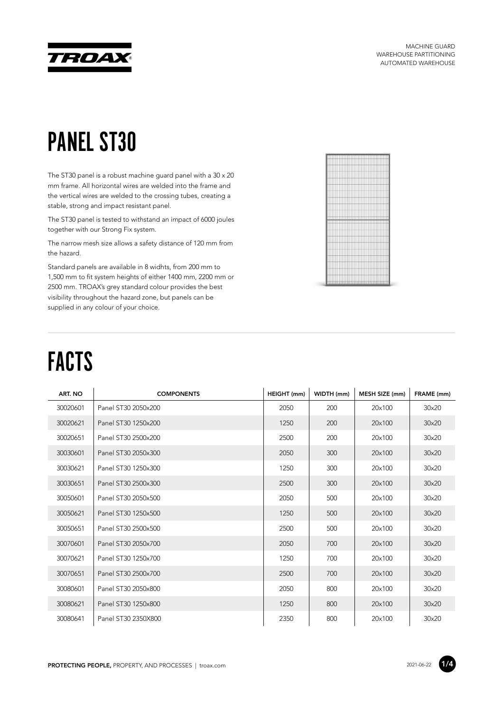

MACHINE GUARD WAREHOUSE PARTITIONING AUTOMATED WAREHOUSE

#### PANEL ST30

The ST30 panel is a robust machine guard panel with a 30 x 20 mm frame. All horizontal wires are welded into the frame and the vertical wires are welded to the crossing tubes, creating a stable, strong and impact resistant panel.

The ST30 panel is tested to withstand an impact of 6000 joules together with our Strong Fix system.

The narrow mesh size allows a safety distance of 120 mm from the hazard.

Standard panels are available in 8 widhts, from 200 mm to 1,500 mm to fit system heights of either 1400 mm, 2200 mm or 2500 mm. TROAX's grey standard colour provides the best visibility throughout the hazard zone, but panels can be supplied in any colour of your choice.



# FACTS

| ART. NO  | <b>COMPONENTS</b>   | HEIGHT (mm) | WIDTH (mm) | MESH SIZE (mm) | FRAME (mm) |
|----------|---------------------|-------------|------------|----------------|------------|
| 30020601 | Panel ST30 2050x200 | 2050        | 200        | 20×100         | 30×20      |
| 30020621 | Panel ST30 1250x200 | 1250        | 200        | 20×100         | 30×20      |
| 30020651 | Panel ST30 2500x200 | 2500        | 200        | 20×100         | 30×20      |
| 30030601 | Panel ST30 2050x300 | 2050        | 300        | 20×100         | 30×20      |
| 30030621 | Panel ST30 1250x300 | 1250        | 300        | 20×100         | 30×20      |
| 30030651 | Panel ST30 2500x300 | 2500        | 300        | 20×100         | 30×20      |
| 30050601 | Panel ST30 2050x500 | 2050        | 500        | 20×100         | 30×20      |
| 30050621 | Panel ST30 1250x500 | 1250        | 500        | 20×100         | 30×20      |
| 30050651 | Panel ST30 2500x500 | 2500        | 500        | 20×100         | 30×20      |
| 30070601 | Panel ST30 2050x700 | 2050        | 700        | 20×100         | 30×20      |
| 30070621 | Panel ST30 1250x700 | 1250        | 700        | 20×100         | 30×20      |
| 30070651 | Panel ST30 2500x700 | 2500        | 700        | 20×100         | 30×20      |
| 30080601 | Panel ST30 2050x800 | 2050        | 800        | 20×100         | 30×20      |
| 30080621 | Panel ST30 1250x800 | 1250        | 800        | 20×100         | 30×20      |
| 30080641 | Panel ST30 2350X800 | 2350        | 800        | 20×100         | 30×20      |

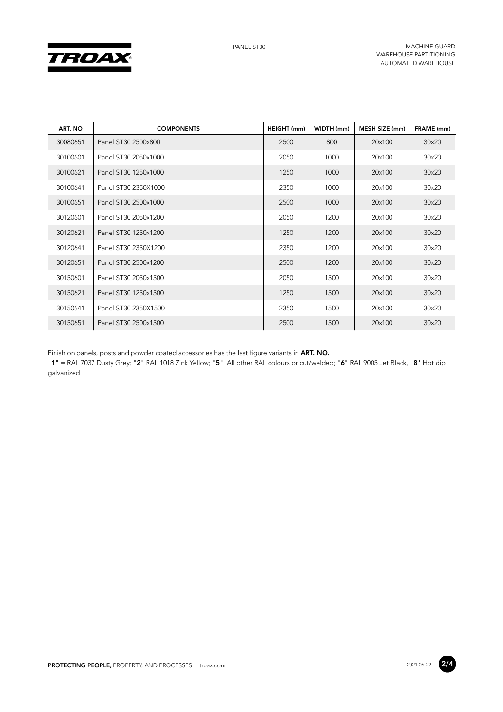

| ART. NO  | <b>COMPONENTS</b>    | HEIGHT (mm) | WIDTH (mm) | MESH SIZE (mm) | FRAME (mm)   |
|----------|----------------------|-------------|------------|----------------|--------------|
| 30080651 | Panel ST30 2500x800  | 2500        | 800        | 20×100         | 30×20        |
| 30100601 | Panel ST30 2050x1000 | 2050        | 1000       | 20×100         | 30×20        |
| 30100621 | Panel ST30 1250x1000 | 1250        | 1000       | 20×100         | 30×20        |
| 30100641 | Panel ST30 2350X1000 | 2350        | 1000       | 20×100         | 30×20        |
| 30100651 | Panel ST30 2500x1000 | 2500        | 1000       | 20×100         | 30×20        |
| 30120601 | Panel ST30 2050x1200 | 2050        | 1200       | 20×100         | 30×20        |
| 30120621 | Panel ST30 1250x1200 | 1250        | 1200       | 20×100         | 30×20        |
| 30120641 | Panel ST30 2350X1200 | 2350        | 1200       | 20×100         | 30×20        |
| 30120651 | Panel ST30 2500x1200 | 2500        | 1200       | 20×100         | $30\times20$ |
| 30150601 | Panel ST30 2050x1500 | 2050        | 1500       | 20×100         | 30×20        |
| 30150621 | Panel ST30 1250x1500 | 1250        | 1500       | 20×100         | 30×20        |
| 30150641 | Panel ST30 2350X1500 | 2350        | 1500       | 20×100         | 30×20        |
| 30150651 | Panel ST30 2500x1500 | 2500        | 1500       | 20×100         | 30×20        |

Finish on panels, posts and powder coated accessories has the last figure variants in **ART. NO.**

"**1**" = RAL 7037 Dusty Grey; "**2**" RAL 1018 Zink Yellow; "**5**" All other RAL colours or cut/welded; "**6**" RAL 9005 Jet Black, "**8**" Hot dip galvanized

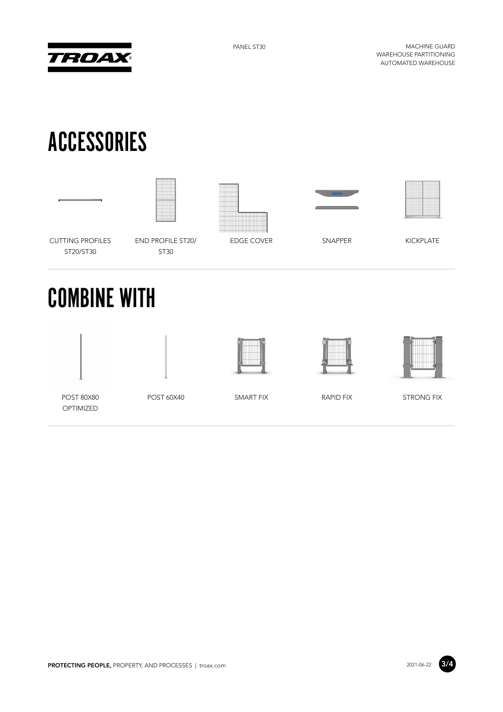

PANEL ST30 MACHINE GUARD WAREHOUSE PARTITIONING AUTOMATED WAREHOUSE

### ACCESSORIES











CUTTING PROFILES ST20/ST30

END PROFILE ST20/ ST30

EDGE COVER SNAPPER KICKPLATE

# COMBINE WITH







POST 80X80 OPTIMIZED

POST 60X40 SMART FIX RAPID FIX STRONG FIX